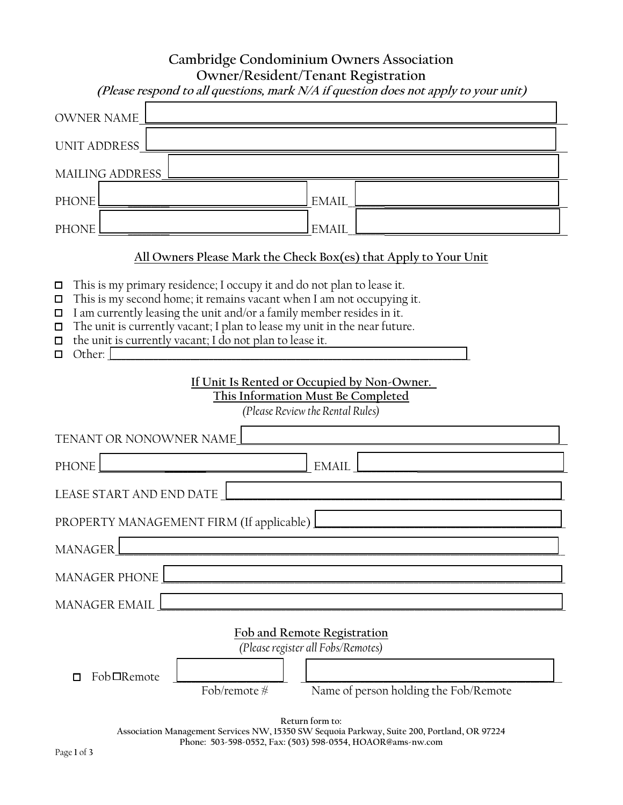|                                                                                                                                                                                                                                                                                                                                                                                                                                                                                                                                                                                                                                 | Cambridge Condominium Owners Association<br>Owner/Resident/Tenant Registration<br>(Please respond to all questions, mark N/A if question does not apply to your unit)                                                        |  |
|---------------------------------------------------------------------------------------------------------------------------------------------------------------------------------------------------------------------------------------------------------------------------------------------------------------------------------------------------------------------------------------------------------------------------------------------------------------------------------------------------------------------------------------------------------------------------------------------------------------------------------|------------------------------------------------------------------------------------------------------------------------------------------------------------------------------------------------------------------------------|--|
| <b>OWNER NAME</b>                                                                                                                                                                                                                                                                                                                                                                                                                                                                                                                                                                                                               |                                                                                                                                                                                                                              |  |
| <b>UNIT ADDRESS</b>                                                                                                                                                                                                                                                                                                                                                                                                                                                                                                                                                                                                             |                                                                                                                                                                                                                              |  |
| <b>MAILING ADDRESS</b>                                                                                                                                                                                                                                                                                                                                                                                                                                                                                                                                                                                                          |                                                                                                                                                                                                                              |  |
| <b>PHONE</b>                                                                                                                                                                                                                                                                                                                                                                                                                                                                                                                                                                                                                    | <b>EMAIL</b>                                                                                                                                                                                                                 |  |
| <b>PHONE</b>                                                                                                                                                                                                                                                                                                                                                                                                                                                                                                                                                                                                                    | <b>EMAIL</b>                                                                                                                                                                                                                 |  |
| All Owners Please Mark the Check Box(es) that Apply to Your Unit<br>This is my primary residence; I occupy it and do not plan to lease it.<br>$\Box$<br>This is my second home; it remains vacant when I am not occupying it.<br>$\Box$<br>I am currently leasing the unit and/or a family member resides in it.<br>$\Box$<br>The unit is currently vacant; I plan to lease my unit in the near future.<br>$\Box$<br>the unit is currently vacant; I do not plan to lease it.<br>$\Box$<br>Other:<br>□<br>If Unit Is Rented or Occupied by Non-Owner.<br>This Information Must Be Completed<br>(Please Review the Rental Rules) |                                                                                                                                                                                                                              |  |
| TENANT OR NONOWNER NAME                                                                                                                                                                                                                                                                                                                                                                                                                                                                                                                                                                                                         |                                                                                                                                                                                                                              |  |
| <b>PHONE</b><br><b>EMAIL</b>                                                                                                                                                                                                                                                                                                                                                                                                                                                                                                                                                                                                    |                                                                                                                                                                                                                              |  |
| LEASE START AND END DATE<br>PROPERTY MANAGEMENT FIRM (If applicable)<br><b>MANAGER</b>                                                                                                                                                                                                                                                                                                                                                                                                                                                                                                                                          |                                                                                                                                                                                                                              |  |
| <b>MANAGER PHONE</b>                                                                                                                                                                                                                                                                                                                                                                                                                                                                                                                                                                                                            |                                                                                                                                                                                                                              |  |
| <b>MANAGER EMAIL</b>                                                                                                                                                                                                                                                                                                                                                                                                                                                                                                                                                                                                            |                                                                                                                                                                                                                              |  |
| Fob□Remote<br>Fob/remote #                                                                                                                                                                                                                                                                                                                                                                                                                                                                                                                                                                                                      | Fob and Remote Registration<br>(Please register all Fobs/Remotes)<br>Name of person holding the Fob/Remote<br>Return form to:<br>Association Management Services NW, 15350 SW Sequoia Parkway, Suite 200, Portland, OR 97224 |  |

**Phone: 503-598-0552, Fax: (503) 598-0554, HOAOR@ams-nw.com**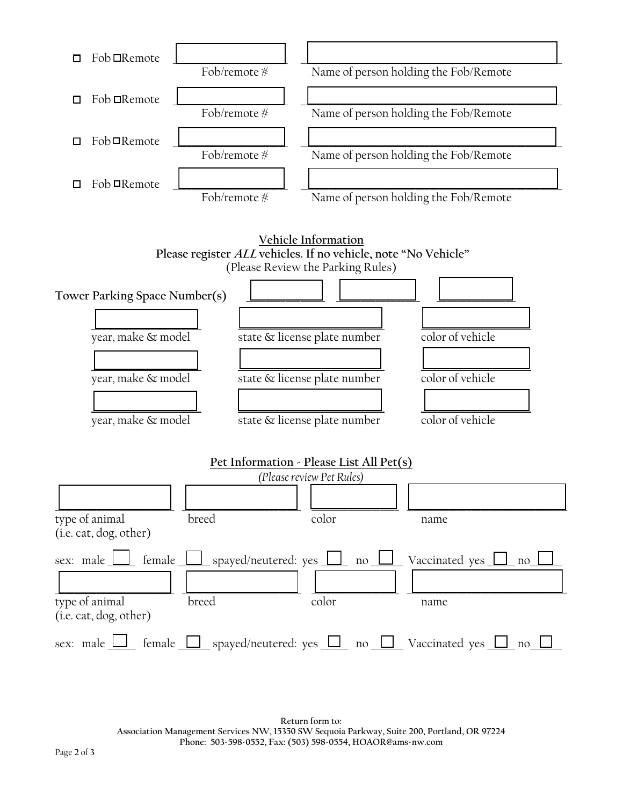

**Return form to: Association Management Services NW, 15350 SW Sequoia Parkway, Suite 200, Portland, OR 97224 Phone: 503-598-0552, Fax: (503) 598-0554, HOAOR@ams-nw.com**